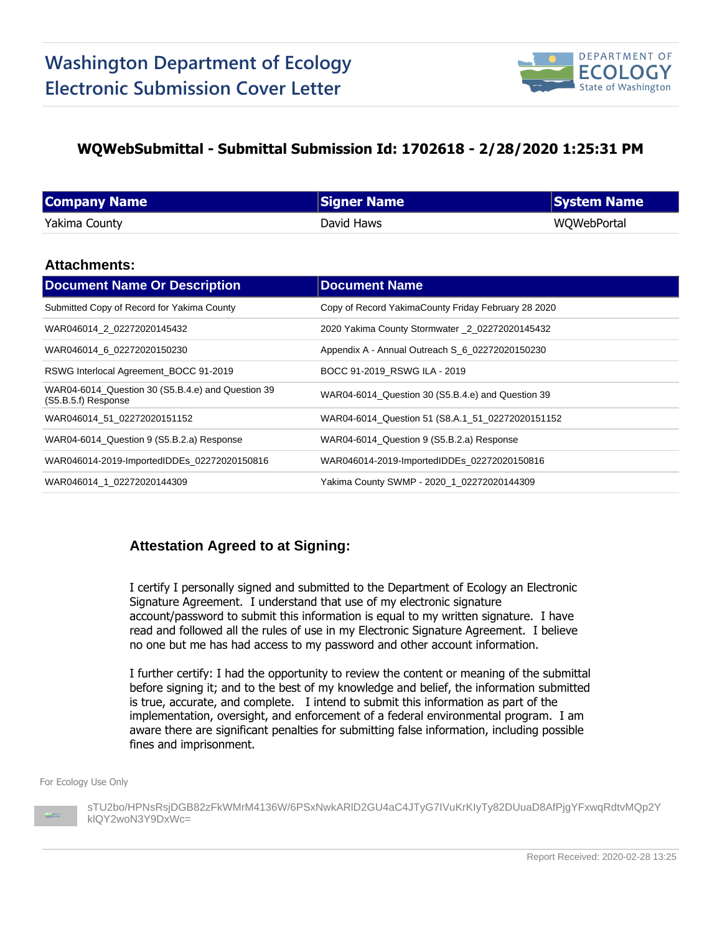

## **WQWebSubmittal - Submittal Submission Id: 1702618 - 2/28/2020 1:25:31 PM**

| <b>Company Name</b> | <b>Signer Name</b> | System Name |
|---------------------|--------------------|-------------|
| Yakima County       | David Haws         | WQWebPortal |

### **Attachments:**

| <b>Document Name Or Description</b>                                      | <b>Document Name</b>                                |
|--------------------------------------------------------------------------|-----------------------------------------------------|
| Submitted Copy of Record for Yakima County                               | Copy of Record YakimaCounty Friday February 28 2020 |
| WAR046014 2 02272020145432                                               | 2020 Yakima County Stormwater _2_02272020145432     |
| WAR046014 6 02272020150230                                               | Appendix A - Annual Outreach S_6_02272020150230     |
| RSWG Interlocal Agreement BOCC 91-2019                                   | BOCC 91-2019 RSWG ILA - 2019                        |
| WAR04-6014_Question 30 (S5.B.4.e) and Question 39<br>(S5.B.5.f) Response | WAR04-6014 Question 30 (S5.B.4.e) and Question 39   |
| WAR046014 51 02272020151152                                              | WAR04-6014_Question 51 (S8.A.1_51_02272020151152    |
| WAR04-6014_Question 9 (S5.B.2.a) Response                                | WAR04-6014_Question 9 (S5.B.2.a) Response           |
| WAR046014-2019-ImportedIDDEs 02272020150816                              | WAR046014-2019-ImportedIDDEs 02272020150816         |
| WAR046014 1 02272020144309                                               | Yakima County SWMP - 2020_1_02272020144309          |

### **Attestation Agreed to at Signing:**

I certify I personally signed and submitted to the Department of Ecology an Electronic Signature Agreement. I understand that use of my electronic signature account/password to submit this information is equal to my written signature. I have read and followed all the rules of use in my Electronic Signature Agreement. I believe no one but me has had access to my password and other account information.

I further certify: I had the opportunity to review the content or meaning of the submittal before signing it; and to the best of my knowledge and belief, the information submitted is true, accurate, and complete. I intend to submit this information as part of the implementation, oversight, and enforcement of a federal environmental program. I am aware there are significant penalties for submitting false information, including possible fines and imprisonment.

For Ecology Use Only



sTU2bo/HPNsRsjDGB82zFkWMrM4136W/6PSxNwkARlD2GU4aC4JTyG7IVuKrKIyTy82DUuaD8AfPjgYFxwqRdtvMQp2Y klQY2woN3Y9DxWc=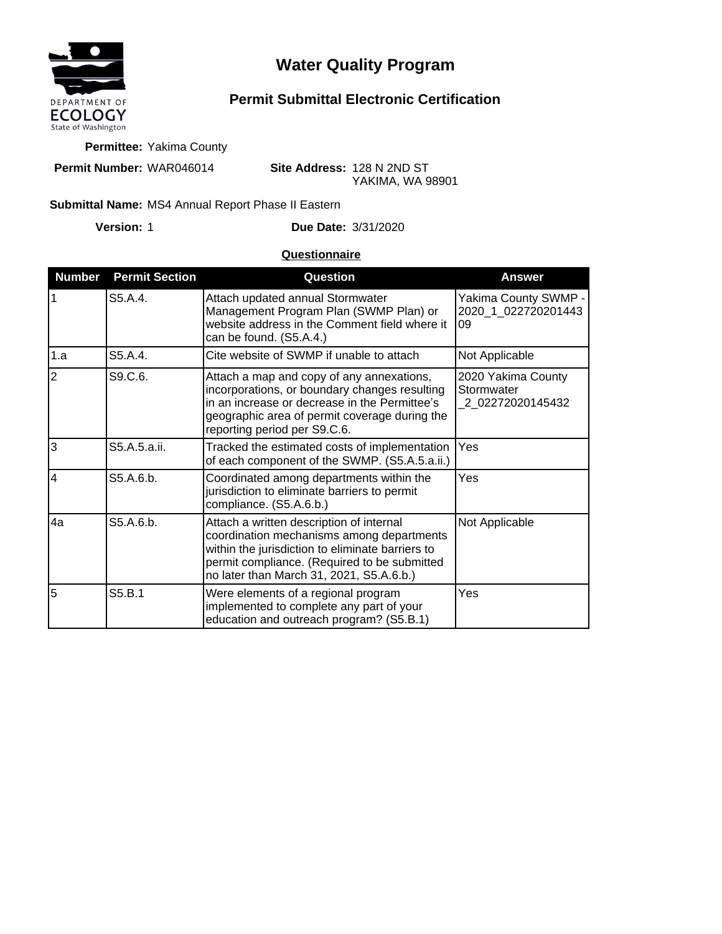

# **Water Quality Program**

## **Permit Submittal Electronic Certification**

**Permittee:** Yakima County

**Permit Number:** WAR046014

**Site Address:** 128 N 2ND ST YAKIMA, WA 98901

#### Submittal Name: MS4 Annual Report Phase II Eastern

**Version:**

1 **Due Date:** 3/31/2020

### **Questionnaire**

| <b>Number</b>  | <b>Permit Section</b> | Question                                                                                                                                                                                                                              | <b>Answer</b>                                        |
|----------------|-----------------------|---------------------------------------------------------------------------------------------------------------------------------------------------------------------------------------------------------------------------------------|------------------------------------------------------|
| $\overline{1}$ | S5.A.4.               | Attach updated annual Stormwater<br>Management Program Plan (SWMP Plan) or<br>website address in the Comment field where it<br>can be found. (S5.A.4.)                                                                                | Yakima County SWMP -<br>2020 1 022720201443<br>09    |
| 1.a            | S5.A.4.               | Cite website of SWMP if unable to attach                                                                                                                                                                                              | Not Applicable                                       |
| $\overline{2}$ | S9.C.6.               | Attach a map and copy of any annexations,<br>incorporations, or boundary changes resulting<br>in an increase or decrease in the Permittee's<br>geographic area of permit coverage during the<br>reporting period per S9.C.6.          | 2020 Yakima County<br>Stormwater<br>2_02272020145432 |
| 3              | S5.A.5.a.ii.          | Tracked the estimated costs of implementation<br>of each component of the SWMP. (S5.A.5.a.ii.)                                                                                                                                        | Yes                                                  |
| $\overline{4}$ | S5.A.6.b.             | Coordinated among departments within the<br>jurisdiction to eliminate barriers to permit<br>compliance. (S5.A.6.b.)                                                                                                                   | Yes                                                  |
| 4a             | S5.A.6.b.             | Attach a written description of internal<br>coordination mechanisms among departments<br>within the jurisdiction to eliminate barriers to<br>permit compliance. (Required to be submitted<br>no later than March 31, 2021, S5.A.6.b.) | Not Applicable                                       |
| 5              | S5.B.1                | Were elements of a regional program<br>implemented to complete any part of your<br>education and outreach program? (S5.B.1)                                                                                                           | Yes                                                  |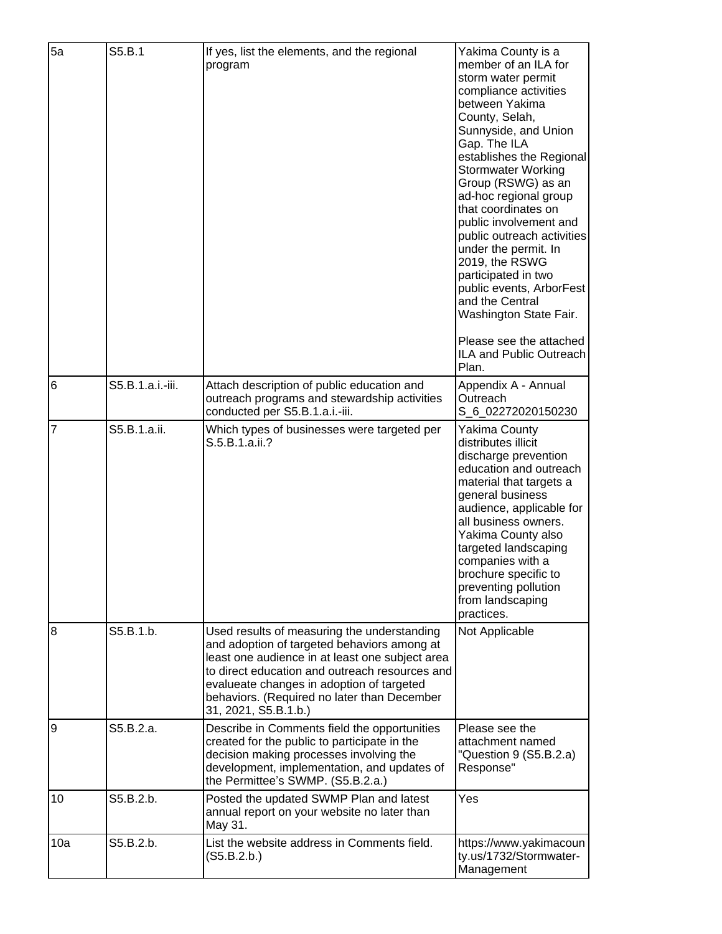| 5a             | S5.B.1           | If yes, list the elements, and the regional<br>program                                                                                                                                                                                                                                                              | Yakima County is a<br>member of an ILA for<br>storm water permit<br>compliance activities<br>between Yakima<br>County, Selah,<br>Sunnyside, and Union<br>Gap. The ILA<br>establishes the Regional<br><b>Stormwater Working</b><br>Group (RSWG) as an<br>ad-hoc regional group<br>that coordinates on<br>public involvement and<br>public outreach activities<br>under the permit. In<br>2019, the RSWG<br>participated in two<br>public events, ArborFest<br>and the Central<br>Washington State Fair. |
|----------------|------------------|---------------------------------------------------------------------------------------------------------------------------------------------------------------------------------------------------------------------------------------------------------------------------------------------------------------------|--------------------------------------------------------------------------------------------------------------------------------------------------------------------------------------------------------------------------------------------------------------------------------------------------------------------------------------------------------------------------------------------------------------------------------------------------------------------------------------------------------|
|                |                  |                                                                                                                                                                                                                                                                                                                     | Please see the attached<br>ILA and Public Outreach<br>Plan.                                                                                                                                                                                                                                                                                                                                                                                                                                            |
| 6              | S5.B.1.a.i.-iii. | Attach description of public education and<br>outreach programs and stewardship activities<br>conducted per S5.B.1.a.i.-iii.                                                                                                                                                                                        | Appendix A - Annual<br>Outreach<br>S_6_02272020150230                                                                                                                                                                                                                                                                                                                                                                                                                                                  |
| $\overline{7}$ | S5.B.1.a.ii.     | Which types of businesses were targeted per<br>S.5.B.1.a.ii.?                                                                                                                                                                                                                                                       | Yakima County<br>distributes illicit<br>discharge prevention<br>education and outreach<br>material that targets a<br>general business<br>audience, applicable for<br>all business owners.<br>Yakima County also<br>targeted landscaping<br>companies with a<br>brochure specific to<br>preventing pollution<br>from landscaping<br>practices.                                                                                                                                                          |
| 8              | S5.B.1.b.        | Used results of measuring the understanding<br>and adoption of targeted behaviors among at<br>least one audience in at least one subject area<br>to direct education and outreach resources and<br>evalueate changes in adoption of targeted<br>behaviors. (Required no later than December<br>31, 2021, S5.B.1.b.) | Not Applicable                                                                                                                                                                                                                                                                                                                                                                                                                                                                                         |
| 9              | S5.B.2.a.        | Describe in Comments field the opportunities<br>created for the public to participate in the<br>decision making processes involving the<br>development, implementation, and updates of<br>the Permittee's SWMP. (S5.B.2.a.)                                                                                         | Please see the<br>attachment named<br>"Question 9 (S5.B.2.a)<br>Response"                                                                                                                                                                                                                                                                                                                                                                                                                              |
| 10             | S5.B.2.b.        | Posted the updated SWMP Plan and latest<br>annual report on your website no later than<br>May 31.                                                                                                                                                                                                                   | Yes                                                                                                                                                                                                                                                                                                                                                                                                                                                                                                    |
| 10a            | S5.B.2.b.        | List the website address in Comments field.<br>(S5.B.2.b.)                                                                                                                                                                                                                                                          | https://www.yakimacoun<br>ty.us/1732/Stormwater-<br>Management                                                                                                                                                                                                                                                                                                                                                                                                                                         |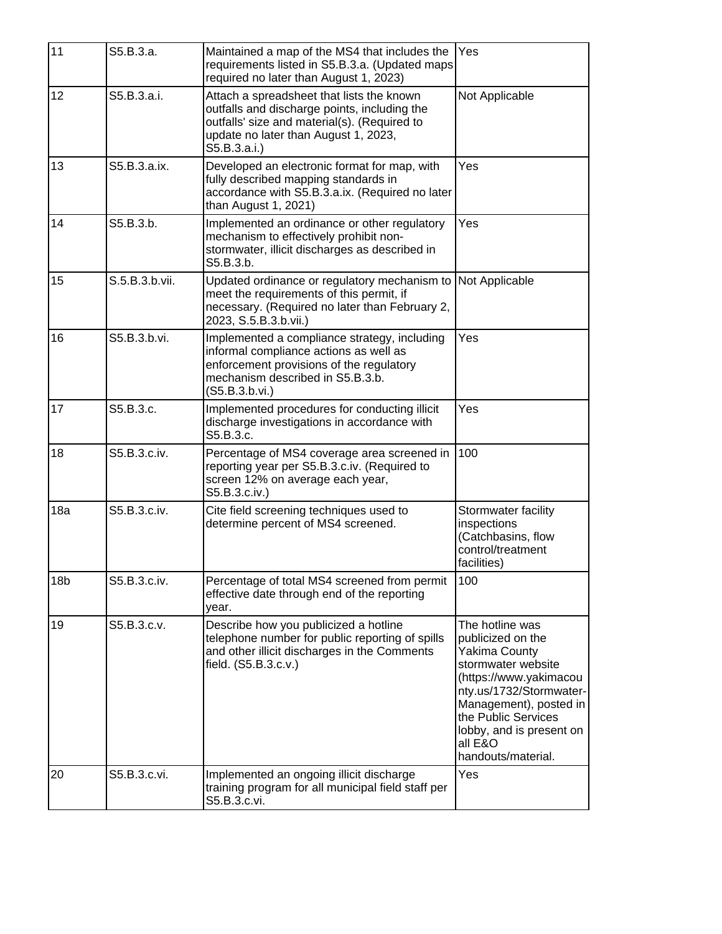| 11              | S5.B.3.a.      | Maintained a map of the MS4 that includes the<br>requirements listed in S5.B.3.a. (Updated maps)<br>required no later than August 1, 2023)                                                        | Yes                                                                                                                                                                                                                                                   |
|-----------------|----------------|---------------------------------------------------------------------------------------------------------------------------------------------------------------------------------------------------|-------------------------------------------------------------------------------------------------------------------------------------------------------------------------------------------------------------------------------------------------------|
| 12              | S5.B.3.a.i.    | Attach a spreadsheet that lists the known<br>outfalls and discharge points, including the<br>outfalls' size and material(s). (Required to<br>update no later than August 1, 2023,<br>S5.B.3.a.i.) | Not Applicable                                                                                                                                                                                                                                        |
| 13              | S5.B.3.a.ix.   | Developed an electronic format for map, with<br>fully described mapping standards in<br>accordance with S5.B.3.a.ix. (Required no later<br>than August 1, 2021)                                   | Yes                                                                                                                                                                                                                                                   |
| 14              | S5.B.3.b.      | Implemented an ordinance or other regulatory<br>mechanism to effectively prohibit non-<br>stormwater, illicit discharges as described in<br>S5.B.3.b.                                             | Yes                                                                                                                                                                                                                                                   |
| 15              | S.5.B.3.b.vii. | Updated ordinance or regulatory mechanism to<br>meet the requirements of this permit, if<br>necessary. (Required no later than February 2,<br>2023, S.5.B.3.b.vii.)                               | Not Applicable                                                                                                                                                                                                                                        |
| 16              | S5.B.3.b.vi.   | Implemented a compliance strategy, including<br>informal compliance actions as well as<br>enforcement provisions of the regulatory<br>mechanism described in S5.B.3.b.<br>(S5.B.3.b.vi.)          | Yes                                                                                                                                                                                                                                                   |
| 17              | S5.B.3.c.      | Implemented procedures for conducting illicit<br>discharge investigations in accordance with<br>S5.B.3.c.                                                                                         | Yes                                                                                                                                                                                                                                                   |
| 18              | S5.B.3.c.iv.   | Percentage of MS4 coverage area screened in<br>reporting year per S5.B.3.c.iv. (Required to<br>screen 12% on average each year,<br>S5.B.3.c.iv.)                                                  | 100                                                                                                                                                                                                                                                   |
| 18a             | S5.B.3.c.iv.   | Cite field screening techniques used to<br>determine percent of MS4 screened.                                                                                                                     | Stormwater facility<br>inspections<br>(Catchbasins, flow<br>control/treatment<br>facilities)                                                                                                                                                          |
| 18 <sub>b</sub> | S5.B.3.c.iv.   | Percentage of total MS4 screened from permit<br>effective date through end of the reporting<br>year.                                                                                              | 100                                                                                                                                                                                                                                                   |
| 19              | S5.B.3.c.v.    | Describe how you publicized a hotline<br>telephone number for public reporting of spills<br>and other illicit discharges in the Comments<br>field. (S5.B.3.c.v.)                                  | The hotline was<br>publicized on the<br><b>Yakima County</b><br>stormwater website<br>(https://www.yakimacou<br>nty.us/1732/Stormwater-<br>Management), posted in<br>the Public Services<br>lobby, and is present on<br>all E&O<br>handouts/material. |
| 20              | S5.B.3.c.vi.   | Implemented an ongoing illicit discharge<br>training program for all municipal field staff per<br>S5.B.3.c.vi.                                                                                    | Yes                                                                                                                                                                                                                                                   |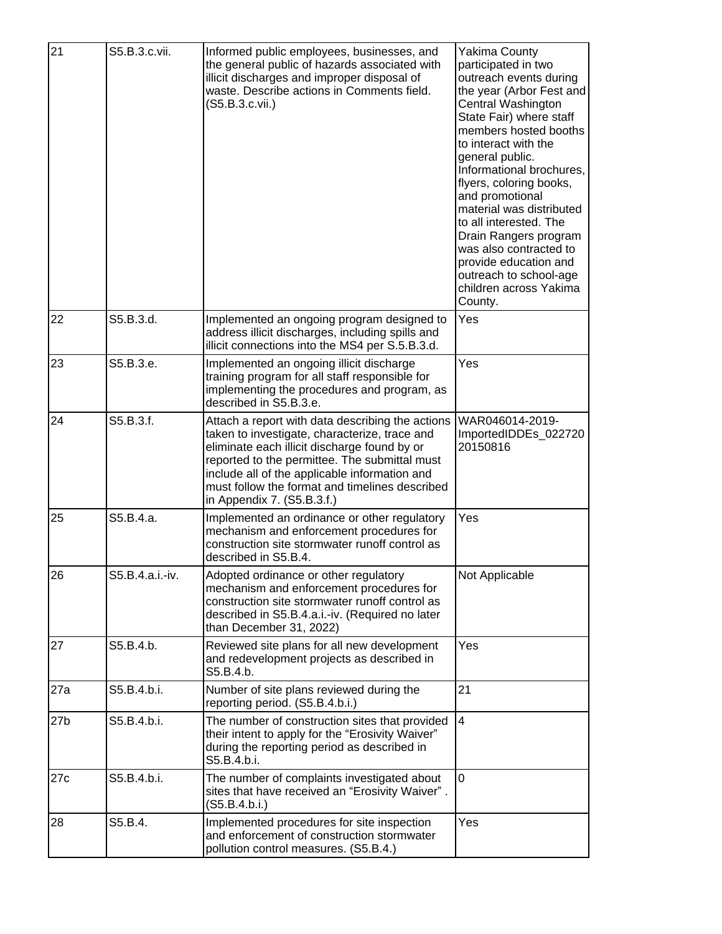| 21              | S5.B.3.c.vii.   | Informed public employees, businesses, and<br>the general public of hazards associated with<br>illicit discharges and improper disposal of<br>waste. Describe actions in Comments field.<br>(S5.B.3.c.vii.)                                                                                                                         | Yakima County<br>participated in two<br>outreach events during<br>the year (Arbor Fest and<br>Central Washington<br>State Fair) where staff<br>members hosted booths<br>to interact with the<br>general public.<br>Informational brochures,<br>flyers, coloring books,<br>and promotional<br>material was distributed<br>to all interested. The<br>Drain Rangers program<br>was also contracted to<br>provide education and<br>outreach to school-age<br>children across Yakima<br>County. |
|-----------------|-----------------|-------------------------------------------------------------------------------------------------------------------------------------------------------------------------------------------------------------------------------------------------------------------------------------------------------------------------------------|--------------------------------------------------------------------------------------------------------------------------------------------------------------------------------------------------------------------------------------------------------------------------------------------------------------------------------------------------------------------------------------------------------------------------------------------------------------------------------------------|
| 22              | S5.B.3.d.       | Implemented an ongoing program designed to<br>address illicit discharges, including spills and<br>illicit connections into the MS4 per S.5.B.3.d.                                                                                                                                                                                   | Yes                                                                                                                                                                                                                                                                                                                                                                                                                                                                                        |
| 23              | S5.B.3.e.       | Implemented an ongoing illicit discharge<br>training program for all staff responsible for<br>implementing the procedures and program, as<br>described in S5.B.3.e.                                                                                                                                                                 | Yes                                                                                                                                                                                                                                                                                                                                                                                                                                                                                        |
| 24              | S5.B.3.f.       | Attach a report with data describing the actions<br>taken to investigate, characterize, trace and<br>eliminate each illicit discharge found by or<br>reported to the permittee. The submittal must<br>include all of the applicable information and<br>must follow the format and timelines described<br>in Appendix 7. (S5.B.3.f.) | WAR046014-2019-<br>ImportedIDDEs_022720<br>20150816                                                                                                                                                                                                                                                                                                                                                                                                                                        |
| 25              | S5.B.4.a.       | Implemented an ordinance or other regulatory<br>mechanism and enforcement procedures for<br>construction site stormwater runoff control as<br>described in S5.B.4.                                                                                                                                                                  | Yes                                                                                                                                                                                                                                                                                                                                                                                                                                                                                        |
| 26              | S5.B.4.a.i.-iv. | Adopted ordinance or other regulatory<br>mechanism and enforcement procedures for<br>construction site stormwater runoff control as<br>described in S5.B.4.a.i.-iv. (Required no later<br>than December 31, 2022)                                                                                                                   | Not Applicable                                                                                                                                                                                                                                                                                                                                                                                                                                                                             |
| 27              | S5.B.4.b.       | Reviewed site plans for all new development<br>and redevelopment projects as described in<br>S5.B.4.b.                                                                                                                                                                                                                              | Yes                                                                                                                                                                                                                                                                                                                                                                                                                                                                                        |
| 27a             | S5.B.4.b.i.     | Number of site plans reviewed during the<br>reporting period. (S5.B.4.b.i.)                                                                                                                                                                                                                                                         | 21                                                                                                                                                                                                                                                                                                                                                                                                                                                                                         |
| 27 <sub>b</sub> | S5.B.4.b.i.     | The number of construction sites that provided<br>their intent to apply for the "Erosivity Waiver"<br>during the reporting period as described in<br>S5.B.4.b.i.                                                                                                                                                                    | $\overline{4}$                                                                                                                                                                                                                                                                                                                                                                                                                                                                             |
| 27c             | S5.B.4.b.i.     | The number of complaints investigated about<br>sites that have received an "Erosivity Waiver".<br>(S5.B.4.b.i.)                                                                                                                                                                                                                     | $\overline{0}$                                                                                                                                                                                                                                                                                                                                                                                                                                                                             |
| 28              | S5.B.4.         | Implemented procedures for site inspection<br>and enforcement of construction stormwater<br>pollution control measures. (S5.B.4.)                                                                                                                                                                                                   | Yes                                                                                                                                                                                                                                                                                                                                                                                                                                                                                        |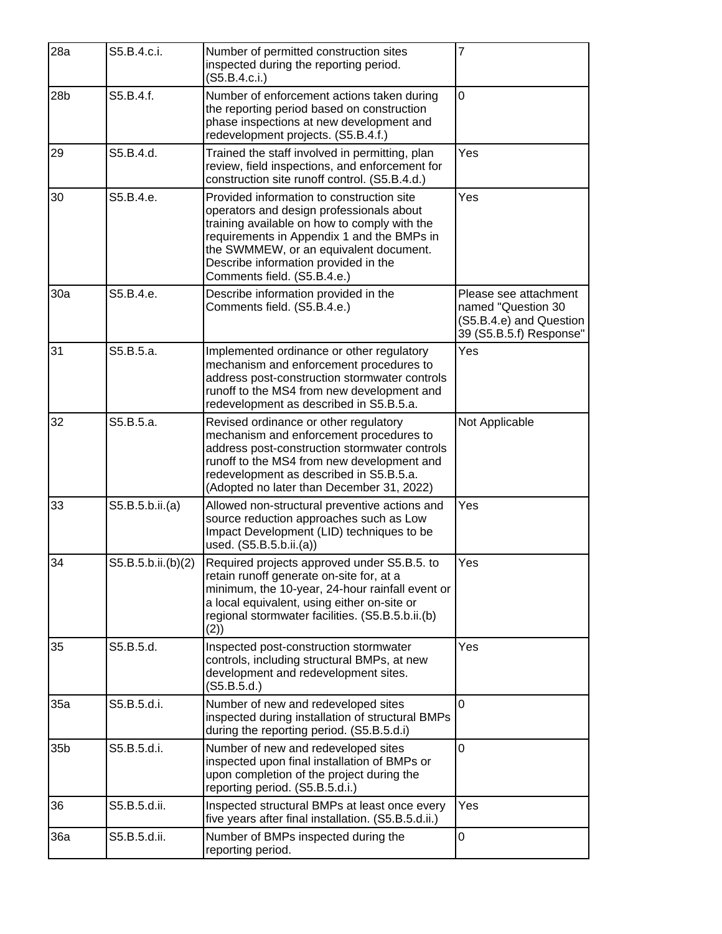| 28a             | S5.B.4.c.i.        | Number of permitted construction sites<br>inspected during the reporting period.<br>(S5.B.4.c.i.)                                                                                                                                                                                                    | $\overline{7}$                                                                                    |
|-----------------|--------------------|------------------------------------------------------------------------------------------------------------------------------------------------------------------------------------------------------------------------------------------------------------------------------------------------------|---------------------------------------------------------------------------------------------------|
| 28 <sub>b</sub> | S5.B.4.f.          | Number of enforcement actions taken during<br>the reporting period based on construction<br>phase inspections at new development and<br>redevelopment projects. (S5.B.4.f.)                                                                                                                          | $\overline{0}$                                                                                    |
| 29              | S5.B.4.d.          | Trained the staff involved in permitting, plan<br>review, field inspections, and enforcement for<br>construction site runoff control. (S5.B.4.d.)                                                                                                                                                    | Yes                                                                                               |
| 30              | S5.B.4.e.          | Provided information to construction site<br>operators and design professionals about<br>training available on how to comply with the<br>requirements in Appendix 1 and the BMPs in<br>the SWMMEW, or an equivalent document.<br>Describe information provided in the<br>Comments field. (S5.B.4.e.) | Yes                                                                                               |
| 30a             | S5.B.4.e.          | Describe information provided in the<br>Comments field. (S5.B.4.e.)                                                                                                                                                                                                                                  | Please see attachment<br>named "Question 30<br>(S5.B.4.e) and Question<br>39 (S5.B.5.f) Response" |
| 31              | S5.B.5.a.          | Implemented ordinance or other regulatory<br>mechanism and enforcement procedures to<br>address post-construction stormwater controls<br>runoff to the MS4 from new development and<br>redevelopment as described in S5.B.5.a.                                                                       | Yes                                                                                               |
| 32              | S5.B.5.a.          | Revised ordinance or other regulatory<br>mechanism and enforcement procedures to<br>address post-construction stormwater controls<br>runoff to the MS4 from new development and<br>redevelopment as described in S5.B.5.a.<br>(Adopted no later than December 31, 2022)                              | Not Applicable                                                                                    |
| 33              | S5.B.5.b.ii.(a)    | Allowed non-structural preventive actions and<br>source reduction approaches such as Low<br>Impact Development (LID) techniques to be<br>used. (S5.B.5.b.ii.(a))                                                                                                                                     | Yes                                                                                               |
| 34              | S5.B.5.b.ii.(b)(2) | Required projects approved under S5.B.5. to<br>retain runoff generate on-site for, at a<br>minimum, the 10-year, 24-hour rainfall event or<br>a local equivalent, using either on-site or<br>regional stormwater facilities. (S5.B.5.b.ii.(b)<br>(2)                                                 | Yes                                                                                               |
| 35              | S5.B.5.d.          | Inspected post-construction stormwater<br>controls, including structural BMPs, at new<br>development and redevelopment sites.<br>(S5.B.5.d.)                                                                                                                                                         | Yes                                                                                               |
| 35a             | S5.B.5.d.i.        | Number of new and redeveloped sites<br>inspected during installation of structural BMPs<br>during the reporting period. (S5.B.5.d.i)                                                                                                                                                                 | $\Omega$                                                                                          |
| 35b             | S5.B.5.d.i.        | Number of new and redeveloped sites<br>inspected upon final installation of BMPs or<br>upon completion of the project during the<br>reporting period. (S5.B.5.d.i.)                                                                                                                                  | 0                                                                                                 |
| 36              | S5.B.5.d.ii.       | Inspected structural BMPs at least once every<br>five years after final installation. (S5.B.5.d.ii.)                                                                                                                                                                                                 | Yes                                                                                               |
| 36a             | S5.B.5.d.ii.       | Number of BMPs inspected during the<br>reporting period.                                                                                                                                                                                                                                             | 0                                                                                                 |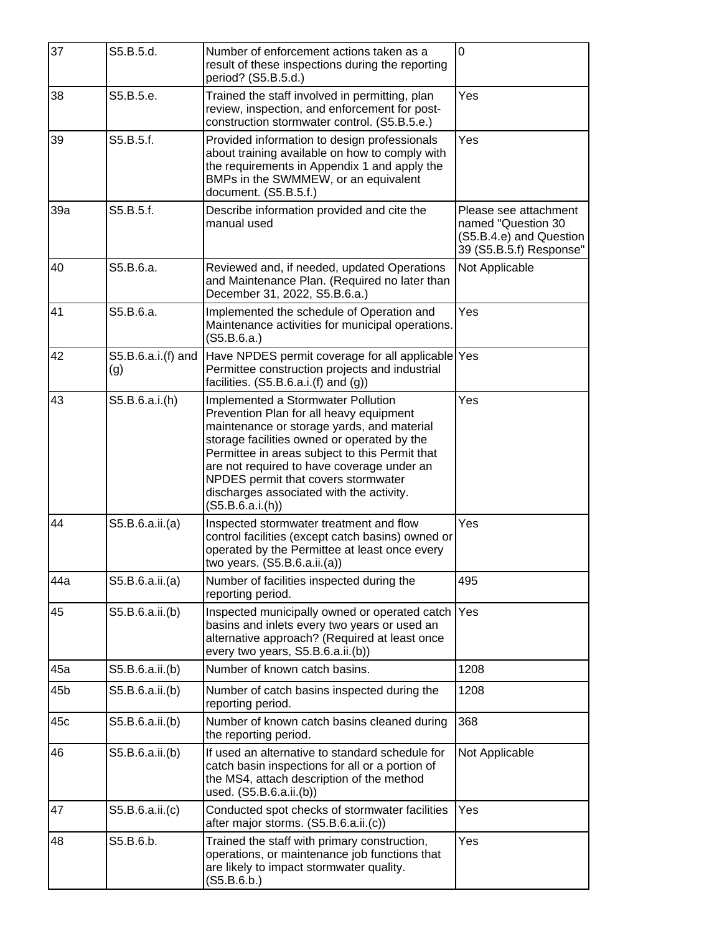| 37  | S5.B.5.d.                 | Number of enforcement actions taken as a                                                                                                                                                                                                                                                                                                                                         | 0                                                                                                 |
|-----|---------------------------|----------------------------------------------------------------------------------------------------------------------------------------------------------------------------------------------------------------------------------------------------------------------------------------------------------------------------------------------------------------------------------|---------------------------------------------------------------------------------------------------|
|     |                           | result of these inspections during the reporting<br>period? (S5.B.5.d.)                                                                                                                                                                                                                                                                                                          |                                                                                                   |
| 38  | S5.B.5.e.                 | Trained the staff involved in permitting, plan<br>review, inspection, and enforcement for post-<br>construction stormwater control. (S5.B.5.e.)                                                                                                                                                                                                                                  | Yes                                                                                               |
| 39  | S5.B.5.f.                 | Provided information to design professionals<br>about training available on how to comply with<br>the requirements in Appendix 1 and apply the<br>BMPs in the SWMMEW, or an equivalent<br>document. (S5.B.5.f.)                                                                                                                                                                  | Yes                                                                                               |
| 39a | S5.B.5.f.                 | Describe information provided and cite the<br>manual used                                                                                                                                                                                                                                                                                                                        | Please see attachment<br>named "Question 30<br>(S5.B.4.e) and Question<br>39 (S5.B.5.f) Response" |
| 40  | S5.B.6.a.                 | Reviewed and, if needed, updated Operations<br>and Maintenance Plan. (Required no later than<br>December 31, 2022, S5.B.6.a.)                                                                                                                                                                                                                                                    | Not Applicable                                                                                    |
| 41  | S5.B.6.a.                 | Implemented the schedule of Operation and<br>Maintenance activities for municipal operations.<br>(S5.B.6.a.)                                                                                                                                                                                                                                                                     | Yes                                                                                               |
| 42  | S5.B.6.a.i.(f) and<br>(g) | Have NPDES permit coverage for all applicable Yes<br>Permittee construction projects and industrial<br>facilities. $(S5.B.6.a.i.f)$ and $(g)$ )                                                                                                                                                                                                                                  |                                                                                                   |
| 43  | S5.B.6.a.i.(h)            | Implemented a Stormwater Pollution<br>Prevention Plan for all heavy equipment<br>maintenance or storage yards, and material<br>storage facilities owned or operated by the<br>Permittee in areas subject to this Permit that<br>are not required to have coverage under an<br>NPDES permit that covers stormwater<br>discharges associated with the activity.<br>(S5.B.6.a.i(h)) | Yes                                                                                               |
| 44  | S5.B.6.a.ii.(a)           | Inspected stormwater treatment and flow<br>control facilities (except catch basins) owned or<br>operated by the Permittee at least once every<br>two years. (S5.B.6.a.ii.(a))                                                                                                                                                                                                    | Yes                                                                                               |
| 44a | S5.B.6.a.ii.(a)           | Number of facilities inspected during the<br>reporting period.                                                                                                                                                                                                                                                                                                                   | 495                                                                                               |
| 45  | S5.B.6.a.ii.(b)           | Inspected municipally owned or operated catch<br>basins and inlets every two years or used an<br>alternative approach? (Required at least once<br>every two years, S5.B.6.a.ii.(b))                                                                                                                                                                                              | Yes                                                                                               |
| 45a | S5.B.6.a.ii.(b)           | Number of known catch basins.                                                                                                                                                                                                                                                                                                                                                    | 1208                                                                                              |
| 45b | S5.B.6.a.ii.(b)           | Number of catch basins inspected during the<br>reporting period.                                                                                                                                                                                                                                                                                                                 | 1208                                                                                              |
| 45c | S5.B.6.a.ii.(b)           | Number of known catch basins cleaned during<br>the reporting period.                                                                                                                                                                                                                                                                                                             | 368                                                                                               |
| 46  | S5.B.6.a.ii.(b)           | If used an alternative to standard schedule for<br>catch basin inspections for all or a portion of<br>the MS4, attach description of the method<br>used. (S5.B.6.a.ii.(b))                                                                                                                                                                                                       | Not Applicable                                                                                    |
| 47  | S5.B.6.a.ii.(c)           | Conducted spot checks of stormwater facilities<br>after major storms. (S5.B.6.a.ii.(c))                                                                                                                                                                                                                                                                                          | Yes                                                                                               |
| 48  | S5.B.6.b.                 | Trained the staff with primary construction,<br>operations, or maintenance job functions that<br>are likely to impact stormwater quality.<br>(S5.B.6.b.)                                                                                                                                                                                                                         | Yes                                                                                               |